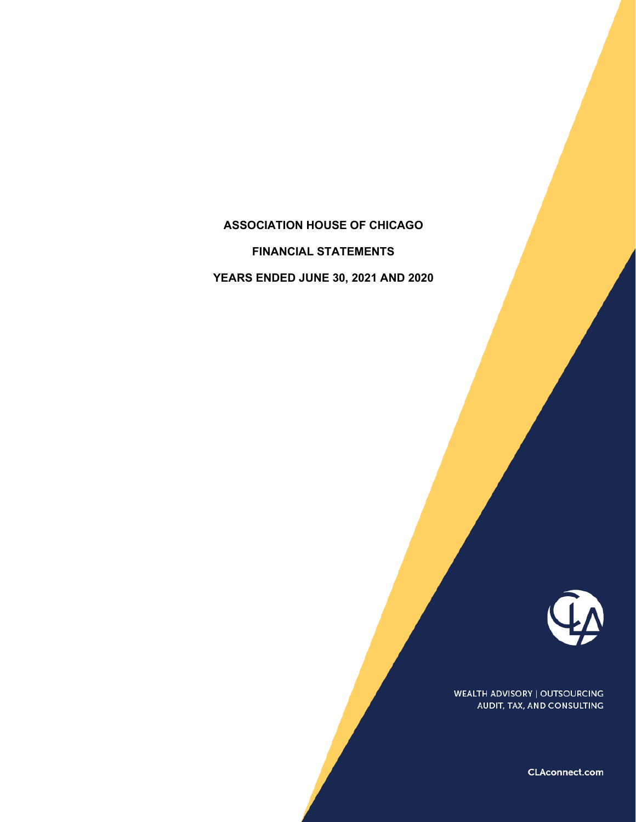# **ASSOCIATION HOUSE OF CHICAGO**

**FINANCIAL STATEMENTS**

**YEARS ENDED JUNE 30, 2021 AND 2020**



WEALTH ADVISORY | OUTSOURCING AUDIT, TAX, AND CONSULTING

CLAconnect.com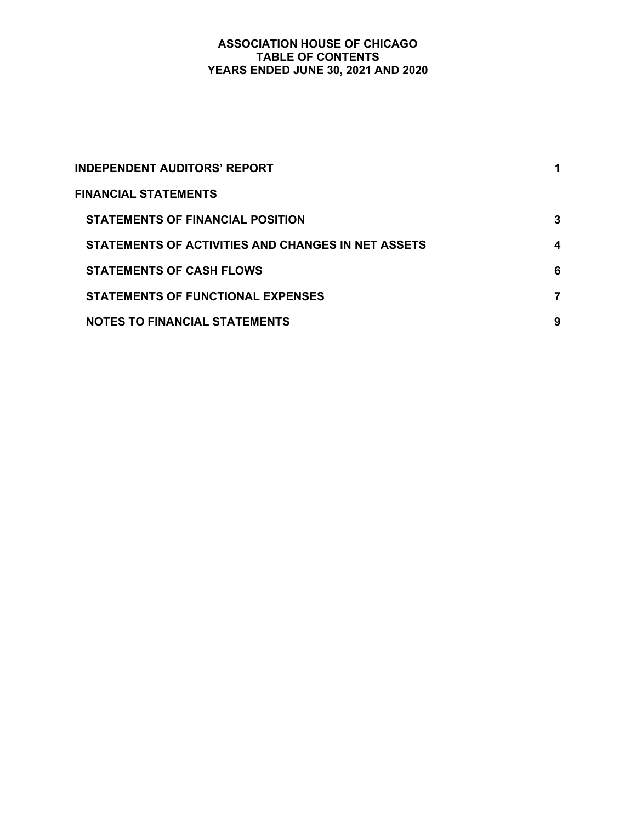# **ASSOCIATION HOUSE OF CHICAGO TABLE OF CONTENTS YEARS ENDED JUNE 30, 2021 AND 2020**

| <b>INDEPENDENT AUDITORS' REPORT</b>                | 1 |
|----------------------------------------------------|---|
| <b>FINANCIAL STATEMENTS</b>                        |   |
| STATEMENTS OF FINANCIAL POSITION                   | 3 |
| STATEMENTS OF ACTIVITIES AND CHANGES IN NET ASSETS | 4 |
| <b>STATEMENTS OF CASH FLOWS</b>                    | 6 |
| <b>STATEMENTS OF FUNCTIONAL EXPENSES</b>           | 7 |
| <b>NOTES TO FINANCIAL STATEMENTS</b>               | 9 |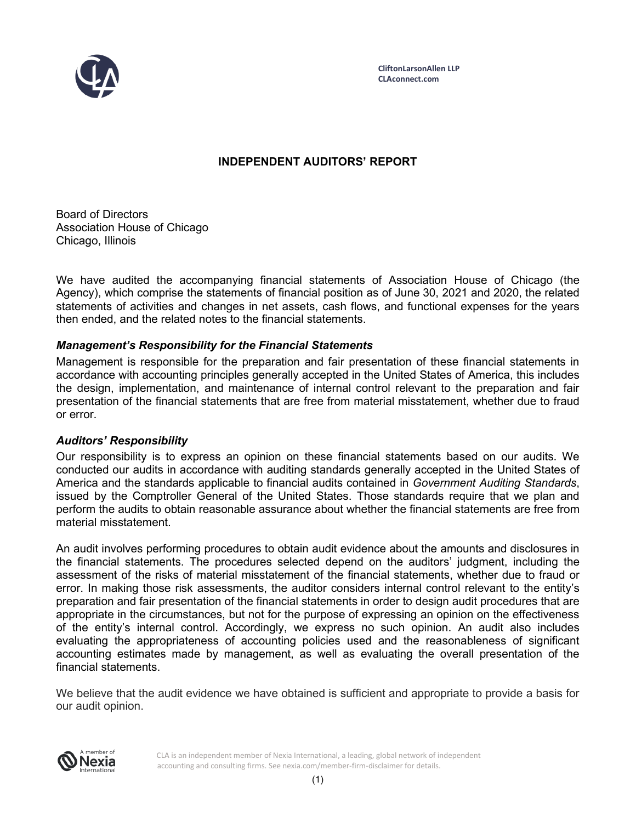

**CliftonLarsonAllen LLP CLAconnect.com**

# **INDEPENDENT AUDITORS' REPORT**

Board of Directors Association House of Chicago Chicago, Illinois

We have audited the accompanying financial statements of Association House of Chicago (the Agency), which comprise the statements of financial position as of June 30, 2021 and 2020, the related statements of activities and changes in net assets, cash flows, and functional expenses for the years then ended, and the related notes to the financial statements.

# *Management's Responsibility for the Financial Statements*

Management is responsible for the preparation and fair presentation of these financial statements in accordance with accounting principles generally accepted in the United States of America, this includes the design, implementation, and maintenance of internal control relevant to the preparation and fair presentation of the financial statements that are free from material misstatement, whether due to fraud or error.

# *Auditors' Responsibility*

Our responsibility is to express an opinion on these financial statements based on our audits. We conducted our audits in accordance with auditing standards generally accepted in the United States of America and the standards applicable to financial audits contained in *Government Auditing Standards*, issued by the Comptroller General of the United States. Those standards require that we plan and perform the audits to obtain reasonable assurance about whether the financial statements are free from material misstatement.

An audit involves performing procedures to obtain audit evidence about the amounts and disclosures in the financial statements. The procedures selected depend on the auditors' judgment, including the assessment of the risks of material misstatement of the financial statements, whether due to fraud or error. In making those risk assessments, the auditor considers internal control relevant to the entity's preparation and fair presentation of the financial statements in order to design audit procedures that are appropriate in the circumstances, but not for the purpose of expressing an opinion on the effectiveness of the entity's internal control. Accordingly, we express no such opinion. An audit also includes evaluating the appropriateness of accounting policies used and the reasonableness of significant accounting estimates made by management, as well as evaluating the overall presentation of the financial statements.

We believe that the audit evidence we have obtained is sufficient and appropriate to provide a basis for our audit opinion.



CLA is an independent member of Nexia International, a leading, global network of independent accounting and consulting firms. See nexia.com/member-firm-disclaimer for details.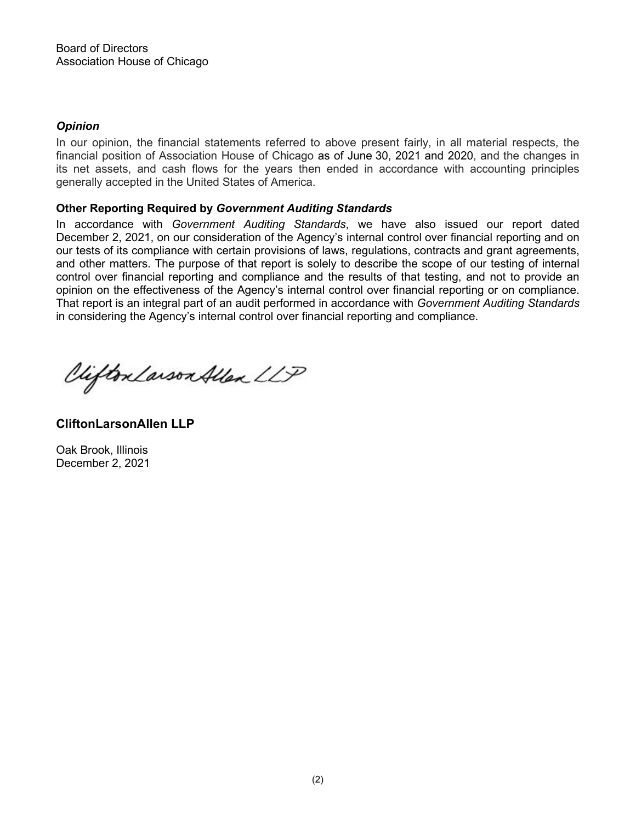# *Opinion*

In our opinion, the financial statements referred to above present fairly, in all material respects, the financial position of Association House of Chicago as of June 30, 2021 and 2020, and the changes in its net assets, and cash flows for the years then ended in accordance with accounting principles generally accepted in the United States of America.

# **Other Reporting Required by** *Government Auditing Standards*

In accordance with *Government Auditing Standards*, we have also issued our report dated December 2, 2021, on our consideration of the Agency's internal control over financial reporting and on our tests of its compliance with certain provisions of laws, regulations, contracts and grant agreements, and other matters. The purpose of that report is solely to describe the scope of our testing of internal control over financial reporting and compliance and the results of that testing, and not to provide an opinion on the effectiveness of the Agency's internal control over financial reporting or on compliance. That report is an integral part of an audit performed in accordance with *Government Auditing Standards* in considering the Agency's internal control over financial reporting and compliance.

Clifton Larson Allen LLP

**CliftonLarsonAllen LLP**

Oak Brook, Illinois December 2, 2021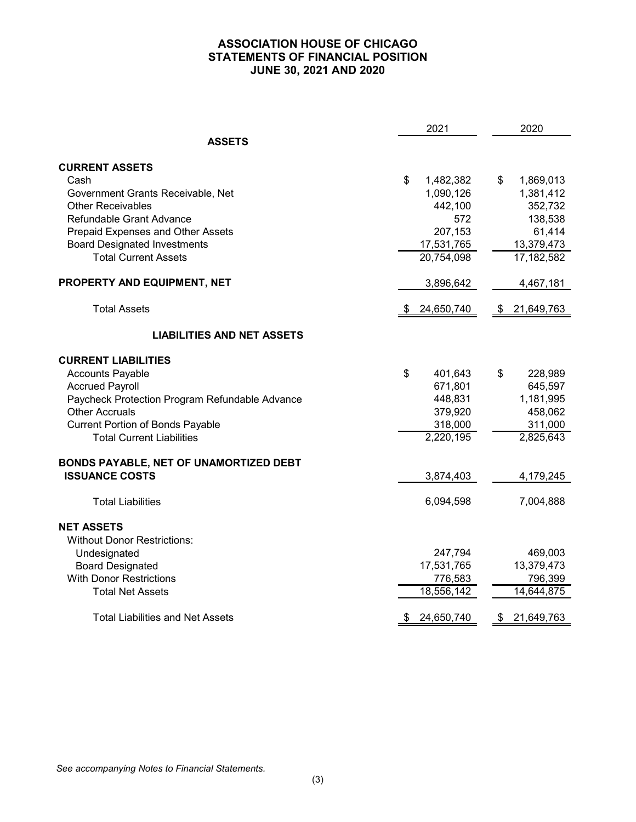# **ASSOCIATION HOUSE OF CHICAGO STATEMENTS OF FINANCIAL POSITION JUNE 30, 2021 AND 2020**

|                                                | 2021             | 2020             |  |
|------------------------------------------------|------------------|------------------|--|
| <b>ASSETS</b>                                  |                  |                  |  |
| <b>CURRENT ASSETS</b>                          |                  |                  |  |
| Cash                                           | \$<br>1,482,382  | \$<br>1,869,013  |  |
| Government Grants Receivable, Net              | 1,090,126        | 1,381,412        |  |
| <b>Other Receivables</b>                       | 442,100          | 352,732          |  |
| Refundable Grant Advance                       | 572              | 138,538          |  |
| Prepaid Expenses and Other Assets              | 207,153          | 61,414           |  |
| <b>Board Designated Investments</b>            | 17,531,765       | 13,379,473       |  |
| <b>Total Current Assets</b>                    | 20,754,098       | 17,182,582       |  |
| PROPERTY AND EQUIPMENT, NET                    | 3,896,642        | 4,467,181        |  |
| <b>Total Assets</b>                            | 24,650,740       | 21,649,763<br>\$ |  |
| <b>LIABILITIES AND NET ASSETS</b>              |                  |                  |  |
| <b>CURRENT LIABILITIES</b>                     |                  |                  |  |
| <b>Accounts Payable</b>                        | \$<br>401,643    | \$<br>228,989    |  |
| <b>Accrued Payroll</b>                         | 671,801          | 645,597          |  |
| Paycheck Protection Program Refundable Advance | 448,831          | 1,181,995        |  |
| <b>Other Accruals</b>                          | 379,920          | 458,062          |  |
| <b>Current Portion of Bonds Payable</b>        | 318,000          | 311,000          |  |
| <b>Total Current Liabilities</b>               | 2,220,195        | 2,825,643        |  |
| BONDS PAYABLE, NET OF UNAMORTIZED DEBT         |                  |                  |  |
| <b>ISSUANCE COSTS</b>                          | 3,874,403        | 4,179,245        |  |
| <b>Total Liabilities</b>                       | 6,094,598        | 7,004,888        |  |
| <b>NET ASSETS</b>                              |                  |                  |  |
| <b>Without Donor Restrictions:</b>             |                  |                  |  |
| Undesignated                                   | 247,794          | 469,003          |  |
| <b>Board Designated</b>                        | 17,531,765       | 13,379,473       |  |
| <b>With Donor Restrictions</b>                 | 776,583          | 796,399          |  |
| <b>Total Net Assets</b>                        | 18,556,142       | 14,644,875       |  |
| <b>Total Liabilities and Net Assets</b>        | 24,650,740<br>\$ | 21,649,763<br>\$ |  |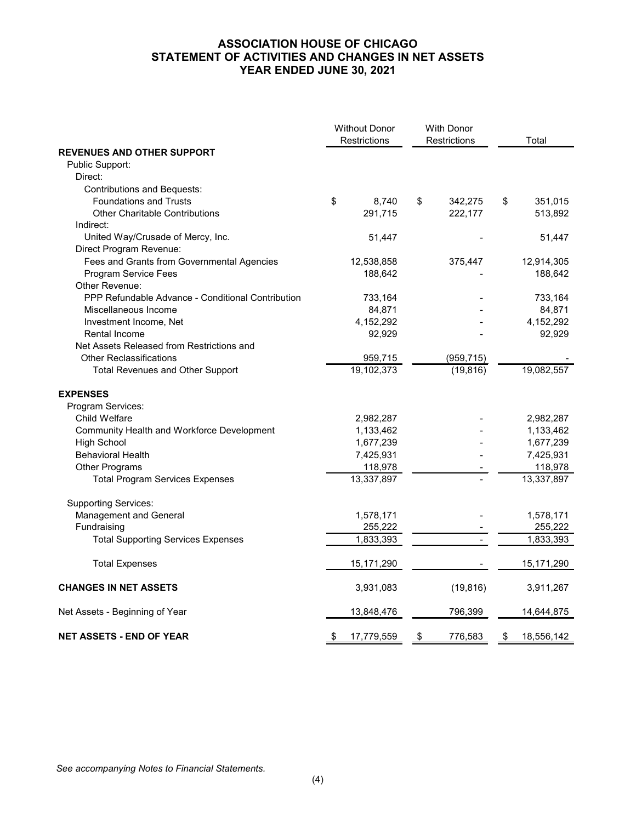# **ASSOCIATION HOUSE OF CHICAGO STATEMENT OF ACTIVITIES AND CHANGES IN NET ASSETS YEAR ENDED JUNE 30, 2021**

|                                                   | <b>Without Donor</b><br>Restrictions | <b>With Donor</b><br>Restrictions | Total            |
|---------------------------------------------------|--------------------------------------|-----------------------------------|------------------|
| <b>REVENUES AND OTHER SUPPORT</b>                 |                                      |                                   |                  |
| Public Support:                                   |                                      |                                   |                  |
| Direct:                                           |                                      |                                   |                  |
| <b>Contributions and Bequests:</b>                |                                      |                                   |                  |
| <b>Foundations and Trusts</b>                     | \$<br>8,740                          | 342,275<br>\$                     | 351,015<br>\$    |
| <b>Other Charitable Contributions</b>             | 291,715                              | 222,177                           | 513,892          |
| Indirect:                                         |                                      |                                   |                  |
| United Way/Crusade of Mercy, Inc.                 | 51,447                               |                                   | 51,447           |
| Direct Program Revenue:                           |                                      |                                   |                  |
| Fees and Grants from Governmental Agencies        | 12,538,858                           | 375,447                           | 12,914,305       |
| Program Service Fees                              | 188,642                              |                                   | 188,642          |
| Other Revenue:                                    |                                      |                                   |                  |
| PPP Refundable Advance - Conditional Contribution | 733,164                              |                                   | 733,164          |
| Miscellaneous Income                              | 84,871                               |                                   | 84,871           |
| Investment Income, Net                            | 4,152,292                            |                                   | 4,152,292        |
| Rental Income                                     | 92,929                               |                                   | 92,929           |
| Net Assets Released from Restrictions and         |                                      |                                   |                  |
| <b>Other Reclassifications</b>                    | 959,715                              | (959, 715)                        |                  |
| Total Revenues and Other Support                  | 19,102,373                           | (19, 816)                         | 19,082,557       |
| <b>EXPENSES</b>                                   |                                      |                                   |                  |
| Program Services:                                 |                                      |                                   |                  |
| Child Welfare                                     | 2,982,287                            |                                   | 2,982,287        |
| Community Health and Workforce Development        | 1,133,462                            |                                   | 1,133,462        |
| <b>High School</b>                                | 1,677,239                            |                                   | 1,677,239        |
| <b>Behavioral Health</b>                          | 7,425,931                            |                                   | 7,425,931        |
| Other Programs                                    | 118,978                              |                                   | 118,978          |
| <b>Total Program Services Expenses</b>            | 13,337,897                           |                                   | 13,337,897       |
|                                                   |                                      |                                   |                  |
| <b>Supporting Services:</b>                       |                                      |                                   |                  |
| Management and General                            | 1,578,171                            |                                   | 1,578,171        |
| Fundraising                                       | 255,222                              |                                   | 255,222          |
| <b>Total Supporting Services Expenses</b>         | 1,833,393                            |                                   | 1,833,393        |
| <b>Total Expenses</b>                             | 15,171,290                           |                                   | 15,171,290       |
| <b>CHANGES IN NET ASSETS</b>                      | 3,931,083                            | (19, 816)                         | 3,911,267        |
| Net Assets - Beginning of Year                    | 13,848,476                           | 796,399                           | 14,644,875       |
| <b>NET ASSETS - END OF YEAR</b>                   | \$<br>17,779,559                     | \$<br>776,583                     | 18,556,142<br>\$ |

*See accompanying Notes to Financial Statements.*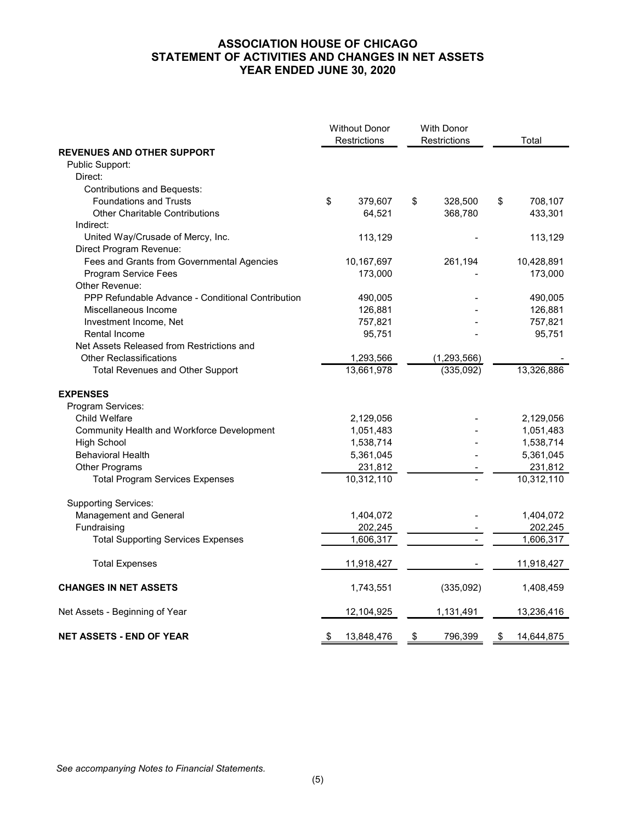# **ASSOCIATION HOUSE OF CHICAGO STATEMENT OF ACTIVITIES AND CHANGES IN NET ASSETS YEAR ENDED JUNE 30, 2020**

|                                                   |    | <b>Without Donor</b><br>Restrictions | <b>With Donor</b><br>Restrictions | Total            |
|---------------------------------------------------|----|--------------------------------------|-----------------------------------|------------------|
| <b>REVENUES AND OTHER SUPPORT</b>                 |    |                                      |                                   |                  |
| Public Support:                                   |    |                                      |                                   |                  |
| Direct:                                           |    |                                      |                                   |                  |
| <b>Contributions and Bequests:</b>                |    |                                      |                                   |                  |
| <b>Foundations and Trusts</b>                     | \$ | 379,607                              | \$<br>328,500                     | \$<br>708,107    |
| <b>Other Charitable Contributions</b>             |    | 64,521                               | 368,780                           | 433,301          |
| Indirect:                                         |    |                                      |                                   |                  |
| United Way/Crusade of Mercy, Inc.                 |    | 113,129                              |                                   | 113,129          |
| Direct Program Revenue:                           |    |                                      |                                   |                  |
| Fees and Grants from Governmental Agencies        |    | 10,167,697                           | 261,194                           | 10,428,891       |
| Program Service Fees                              |    | 173,000                              |                                   | 173,000          |
| Other Revenue:                                    |    |                                      |                                   |                  |
| PPP Refundable Advance - Conditional Contribution |    | 490,005                              |                                   | 490,005          |
| Miscellaneous Income                              |    | 126,881                              |                                   | 126,881          |
| Investment Income, Net                            |    | 757,821                              |                                   | 757,821          |
| Rental Income                                     |    | 95,751                               |                                   | 95,751           |
| Net Assets Released from Restrictions and         |    |                                      |                                   |                  |
| <b>Other Reclassifications</b>                    |    | 1,293,566                            | (1, 293, 566)                     |                  |
| <b>Total Revenues and Other Support</b>           |    | 13,661,978                           | (335,092)                         | 13,326,886       |
| <b>EXPENSES</b>                                   |    |                                      |                                   |                  |
| Program Services:                                 |    |                                      |                                   |                  |
| Child Welfare                                     |    | 2,129,056                            |                                   | 2,129,056        |
| Community Health and Workforce Development        |    | 1,051,483                            |                                   | 1,051,483        |
| <b>High School</b>                                |    | 1,538,714                            |                                   | 1,538,714        |
| <b>Behavioral Health</b>                          |    | 5,361,045                            |                                   | 5,361,045        |
| Other Programs                                    |    | 231,812                              |                                   | 231,812          |
| <b>Total Program Services Expenses</b>            |    | 10,312,110                           |                                   | 10,312,110       |
| <b>Supporting Services:</b>                       |    |                                      |                                   |                  |
| Management and General                            |    | 1,404,072                            |                                   | 1,404,072        |
| Fundraising                                       |    | 202,245                              |                                   | 202,245          |
| <b>Total Supporting Services Expenses</b>         |    | 1,606,317                            |                                   | 1,606,317        |
| <b>Total Expenses</b>                             |    | 11,918,427                           |                                   | 11,918,427       |
| <b>CHANGES IN NET ASSETS</b>                      |    | 1,743,551                            | (335,092)                         | 1,408,459        |
| Net Assets - Beginning of Year                    |    | 12,104,925                           | 1,131,491                         | 13,236,416       |
| <b>NET ASSETS - END OF YEAR</b>                   | \$ | 13,848,476                           | \$<br>796,399                     | \$<br>14,644,875 |

*See accompanying Notes to Financial Statements.*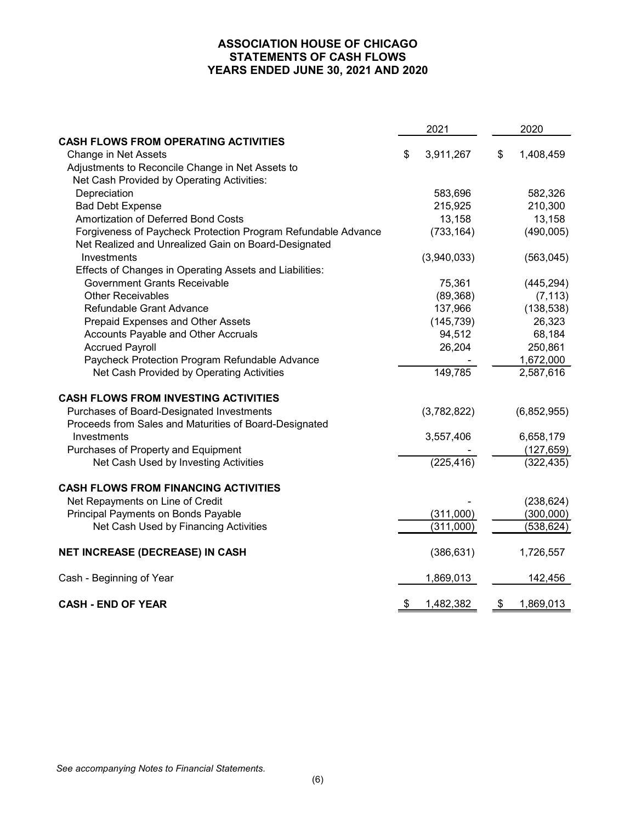# **ASSOCIATION HOUSE OF CHICAGO STATEMENTS OF CASH FLOWS YEARS ENDED JUNE 30, 2021 AND 2020**

|                                                               | 2021            | 2020 |             |  |
|---------------------------------------------------------------|-----------------|------|-------------|--|
| <b>CASH FLOWS FROM OPERATING ACTIVITIES</b>                   |                 |      |             |  |
| Change in Net Assets                                          | \$<br>3,911,267 | \$   | 1,408,459   |  |
| Adjustments to Reconcile Change in Net Assets to              |                 |      |             |  |
| Net Cash Provided by Operating Activities:                    |                 |      |             |  |
| Depreciation                                                  | 583,696         |      | 582,326     |  |
| <b>Bad Debt Expense</b>                                       | 215,925         |      | 210,300     |  |
| Amortization of Deferred Bond Costs                           | 13,158          |      | 13,158      |  |
| Forgiveness of Paycheck Protection Program Refundable Advance | (733, 164)      |      | (490,005)   |  |
| Net Realized and Unrealized Gain on Board-Designated          |                 |      |             |  |
| Investments                                                   | (3,940,033)     |      | (563, 045)  |  |
| Effects of Changes in Operating Assets and Liabilities:       |                 |      |             |  |
| <b>Government Grants Receivable</b>                           | 75,361          |      | (445, 294)  |  |
| <b>Other Receivables</b>                                      | (89, 368)       |      | (7, 113)    |  |
| Refundable Grant Advance                                      | 137,966         |      | (138, 538)  |  |
| Prepaid Expenses and Other Assets                             | (145, 739)      |      | 26,323      |  |
| Accounts Payable and Other Accruals                           | 94,512          |      | 68,184      |  |
| <b>Accrued Payroll</b>                                        | 26,204          |      | 250,861     |  |
| Paycheck Protection Program Refundable Advance                |                 |      | 1,672,000   |  |
| Net Cash Provided by Operating Activities                     | 149,785         |      | 2,587,616   |  |
| <b>CASH FLOWS FROM INVESTING ACTIVITIES</b>                   |                 |      |             |  |
| Purchases of Board-Designated Investments                     | (3,782,822)     |      | (6,852,955) |  |
| Proceeds from Sales and Maturities of Board-Designated        |                 |      |             |  |
| Investments                                                   | 3,557,406       |      | 6,658,179   |  |
| Purchases of Property and Equipment                           |                 |      | (127, 659)  |  |
| Net Cash Used by Investing Activities                         | (225, 416)      |      | (322, 435)  |  |
| <b>CASH FLOWS FROM FINANCING ACTIVITIES</b>                   |                 |      |             |  |
| Net Repayments on Line of Credit                              |                 |      | (238, 624)  |  |
| Principal Payments on Bonds Payable                           | (311,000)       |      | (300,000)   |  |
| Net Cash Used by Financing Activities                         | (311,000)       |      | (538, 624)  |  |
| NET INCREASE (DECREASE) IN CASH                               | (386, 631)      |      | 1,726,557   |  |
| Cash - Beginning of Year                                      | 1,869,013       |      | 142,456     |  |
| <b>CASH - END OF YEAR</b>                                     | \$<br>1,482,382 | \$   | 1,869,013   |  |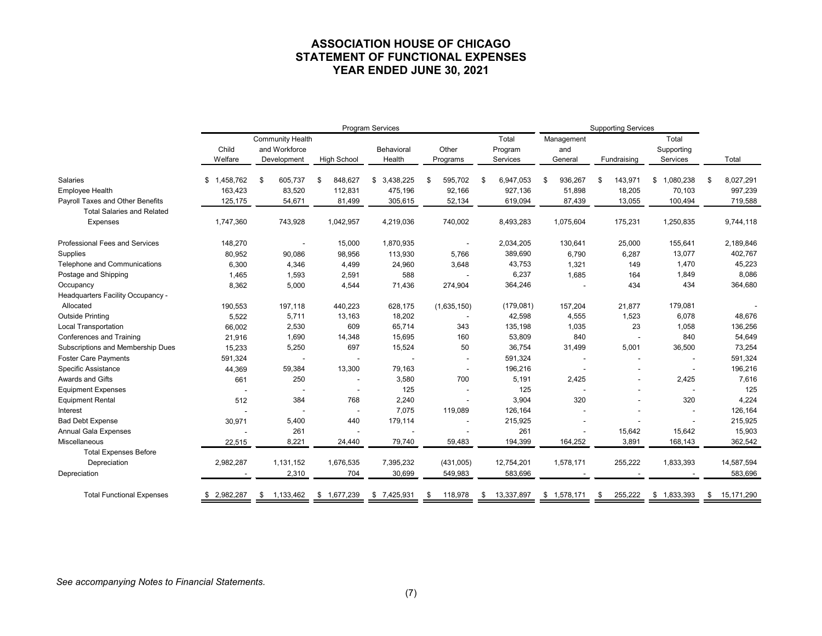# **ASSOCIATION HOUSE OF CHICAGO STATEMENT OF FUNCTIONAL EXPENSES YEAR ENDED JUNE 30, 2021**

|                                       |                  |                                                         | Program Services   | <b>Supporting Services</b> |                          |                              |                              |                          |                                 |                  |
|---------------------------------------|------------------|---------------------------------------------------------|--------------------|----------------------------|--------------------------|------------------------------|------------------------------|--------------------------|---------------------------------|------------------|
|                                       | Child<br>Welfare | <b>Community Health</b><br>and Workforce<br>Development | <b>High School</b> | Behavioral<br>Health       | Other<br>Programs        | Total<br>Program<br>Services | Management<br>and<br>General | Fundraising              | Total<br>Supporting<br>Services | Total            |
| <b>Salaries</b>                       | 1,458,762<br>\$  | \$<br>605,737                                           | \$<br>848,627      | \$3,438,225                | 595,702<br>-S            | \$<br>6,947,053              | \$<br>936,267                | \$<br>143,971            | \$<br>1,080,238                 | \$<br>8,027,291  |
| <b>Employee Health</b>                | 163,423          | 83,520                                                  | 112,831            | 475,196                    | 92,166                   | 927,136                      | 51,898                       | 18,205                   | 70,103                          | 997,239          |
| Payroll Taxes and Other Benefits      | 125,175          | 54,671                                                  | 81,499             | 305,615                    | 52,134                   | 619,094                      | 87,439                       | 13,055                   | 100,494                         | 719,588          |
| <b>Total Salaries and Related</b>     |                  |                                                         |                    |                            |                          |                              |                              |                          |                                 |                  |
| Expenses                              | 1,747,360        | 743,928                                                 | 1,042,957          | 4,219,036                  | 740,002                  | 8,493,283                    | 1,075,604                    | 175,231                  | 1,250,835                       | 9,744,118        |
| <b>Professional Fees and Services</b> | 148,270          |                                                         | 15,000             | 1,870,935                  |                          | 2,034,205                    | 130,641                      | 25,000                   | 155,641                         | 2,189,846        |
| Supplies                              | 80,952           | 90,086                                                  | 98,956             | 113,930                    | 5,766                    | 389,690                      | 6,790                        | 6,287                    | 13,077                          | 402,767          |
| Telephone and Communications          | 6,300            | 4,346                                                   | 4,499              | 24,960                     | 3,648                    | 43,753                       | 1,321                        | 149                      | 1,470                           | 45,223           |
| Postage and Shipping                  | 1,465            | 1,593                                                   | 2,591              | 588                        |                          | 6,237                        | 1,685                        | 164                      | 1,849                           | 8,086            |
| Occupancy                             | 8,362            | 5,000                                                   | 4,544              | 71,436                     | 274,904                  | 364,246                      |                              | 434                      | 434                             | 364,680          |
| Headquarters Facility Occupancy -     |                  |                                                         |                    |                            |                          |                              |                              |                          |                                 |                  |
| Allocated                             | 190,553          | 197,118                                                 | 440,223            | 628,175                    | (1,635,150)              | (179,081)                    | 157,204                      | 21,877                   | 179,081                         |                  |
| <b>Outside Printing</b>               | 5,522            | 5,711                                                   | 13,163             | 18,202                     | $\overline{\phantom{a}}$ | 42,598                       | 4,555                        | 1,523                    | 6,078                           | 48,676           |
| <b>Local Transportation</b>           | 66,002           | 2,530                                                   | 609                | 65,714                     | 343                      | 135,198                      | 1,035                        | 23                       | 1,058                           | 136,256          |
| Conferences and Training              | 21,916           | 1,690                                                   | 14,348             | 15,695                     | 160                      | 53,809                       | 840                          | $\overline{\phantom{a}}$ | 840                             | 54,649           |
| Subscriptions and Membership Dues     | 15,233           | 5,250                                                   | 697                | 15,524                     | 50                       | 36,754                       | 31,499                       | 5,001                    | 36,500                          | 73,254           |
| <b>Foster Care Payments</b>           | 591,324          |                                                         |                    |                            | $\overline{\phantom{a}}$ | 591,324                      |                              |                          |                                 | 591,324          |
| Specific Assistance                   | 44,369           | 59,384                                                  | 13,300             | 79,163                     | $\overline{\phantom{a}}$ | 196,216                      |                              |                          |                                 | 196,216          |
| Awards and Gifts                      | 661              | 250                                                     |                    | 3,580                      | 700                      | 5,191                        | 2,425                        |                          | 2,425                           | 7,616            |
| <b>Equipment Expenses</b>             |                  |                                                         |                    | 125                        |                          | 125                          |                              |                          |                                 | 125              |
| <b>Equipment Rental</b>               | 512              | 384                                                     | 768                | 2,240                      |                          | 3,904                        | 320                          |                          | 320                             | 4,224            |
| Interest                              |                  |                                                         |                    | 7,075                      | 119,089                  | 126,164                      |                              |                          |                                 | 126,164          |
| <b>Bad Debt Expense</b>               | 30,971           | 5,400                                                   | 440                | 179,114                    |                          | 215,925                      |                              |                          |                                 | 215,925          |
| <b>Annual Gala Expenses</b>           |                  | 261                                                     |                    |                            |                          | 261                          |                              | 15,642                   | 15,642                          | 15,903           |
| Miscellaneous                         | 22,515           | 8,221                                                   | 24,440             | 79,740                     | 59,483                   | 194,399                      | 164,252                      | 3,891                    | 168,143                         | 362,542          |
| <b>Total Expenses Before</b>          |                  |                                                         |                    |                            |                          |                              |                              |                          |                                 |                  |
| Depreciation                          | 2,982,287        | 1,131,152                                               | 1,676,535          | 7,395,232                  | (431,005)                | 12,754,201                   | 1,578,171                    | 255,222                  | 1,833,393                       | 14,587,594       |
| Depreciation                          |                  | 2,310                                                   | 704                | 30,699                     | 549,983                  | 583,696                      |                              |                          |                                 | 583,696          |
| <b>Total Functional Expenses</b>      | \$2,982,287      | 1,133,462<br>\$                                         | \$1,677,239        | \$7,425,931                | 118,978<br>\$            | 13,337,897<br>\$             | \$1,578,171                  | 255,222<br>\$            | \$1,833,393                     | 15,171,290<br>\$ |

*See accompanying Notes to Financial Statements.*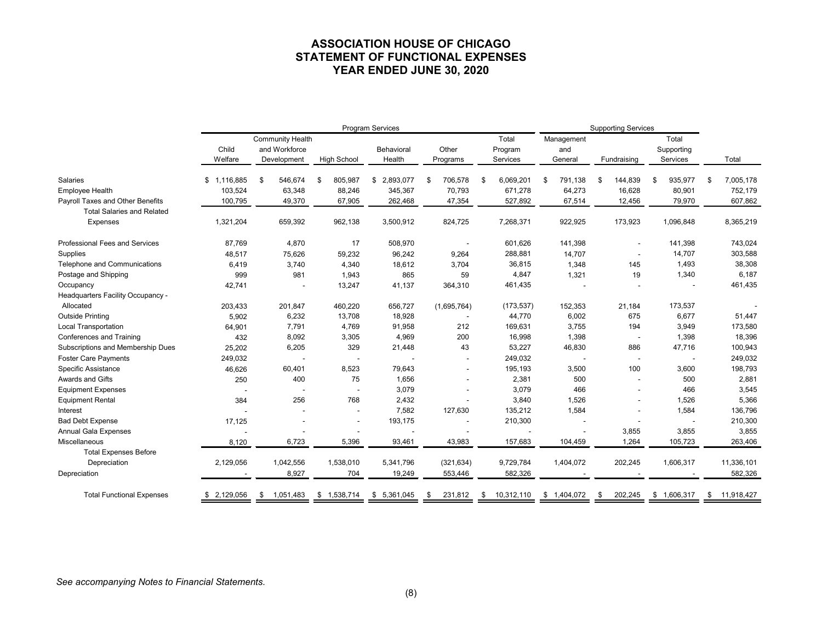# **ASSOCIATION HOUSE OF CHICAGO STATEMENT OF FUNCTIONAL EXPENSES YEAR ENDED JUNE 30, 2020**

|                                       | Program Services |                                                         |                    |                      |                   |                              |                              | <b>Supporting Services</b> |                                 |                  |  |  |
|---------------------------------------|------------------|---------------------------------------------------------|--------------------|----------------------|-------------------|------------------------------|------------------------------|----------------------------|---------------------------------|------------------|--|--|
|                                       | Child<br>Welfare | <b>Community Health</b><br>and Workforce<br>Development | <b>High School</b> | Behavioral<br>Health | Other<br>Programs | Total<br>Program<br>Services | Management<br>and<br>General | Fundraising                | Total<br>Supporting<br>Services | Total            |  |  |
| Salaries                              | \$1,116,885      | \$<br>546,674                                           | \$<br>805,987      | \$ 2,893,077         | \$<br>706,578     | \$<br>6,069,201              | \$<br>791,138                | \$<br>144,839              | \$<br>935,977                   | \$<br>7,005,178  |  |  |
| <b>Employee Health</b>                | 103,524          | 63,348                                                  | 88,246             | 345,367              | 70,793            | 671,278                      | 64,273                       | 16,628                     | 80,901                          | 752,179          |  |  |
| Payroll Taxes and Other Benefits      | 100,795          | 49,370                                                  | 67,905             | 262,468              | 47,354            | 527,892                      | 67,514                       | 12,456                     | 79,970                          | 607,862          |  |  |
| <b>Total Salaries and Related</b>     |                  |                                                         |                    |                      |                   |                              |                              |                            |                                 |                  |  |  |
| Expenses                              | 1,321,204        | 659,392                                                 | 962,138            | 3,500,912            | 824,725           | 7,268,371                    | 922,925                      | 173,923                    | 1,096,848                       | 8,365,219        |  |  |
| <b>Professional Fees and Services</b> | 87,769           | 4,870                                                   | 17                 | 508,970              |                   | 601,626                      | 141,398                      |                            | 141,398                         | 743,024          |  |  |
| Supplies                              | 48,517           | 75,626                                                  | 59,232             | 96,242               | 9,264             | 288,881                      | 14,707                       |                            | 14,707                          | 303,588          |  |  |
| Telephone and Communications          | 6,419            | 3,740                                                   | 4,340              | 18,612               | 3,704             | 36,815                       | 1,348                        | 145                        | 1,493                           | 38,308           |  |  |
| Postage and Shipping                  | 999              | 981                                                     | 1,943              | 865                  | 59                | 4,847                        | 1,321                        | 19                         | 1,340                           | 6,187            |  |  |
| Occupancy                             | 42,741           |                                                         | 13,247             | 41,137               | 364,310           | 461,435                      |                              |                            |                                 | 461,435          |  |  |
| Headquarters Facility Occupancy -     |                  |                                                         |                    |                      |                   |                              |                              |                            |                                 |                  |  |  |
| Allocated                             | 203,433          | 201,847                                                 | 460,220            | 656,727              | (1,695,764)       | (173, 537)                   | 152,353                      | 21,184                     | 173,537                         |                  |  |  |
| <b>Outside Printing</b>               | 5,902            | 6,232                                                   | 13,708             | 18,928               |                   | 44,770                       | 6,002                        | 675                        | 6,677                           | 51,447           |  |  |
| Local Transportation                  | 64,901           | 7,791                                                   | 4,769              | 91,958               | 212               | 169,631                      | 3,755                        | 194                        | 3,949                           | 173,580          |  |  |
| Conferences and Training              | 432              | 8,092                                                   | 3,305              | 4,969                | 200               | 16,998                       | 1,398                        | $\overline{\phantom{a}}$   | 1,398                           | 18,396           |  |  |
| Subscriptions and Membership Dues     | 25,202           | 6,205                                                   | 329                | 21,448               | 43                | 53,227                       | 46,830                       | 886                        | 47,716                          | 100,943          |  |  |
| <b>Foster Care Payments</b>           | 249,032          |                                                         |                    |                      |                   | 249,032                      |                              | $\overline{\phantom{a}}$   |                                 | 249,032          |  |  |
| <b>Specific Assistance</b>            | 46,626           | 60,401                                                  | 8,523              | 79,643               |                   | 195,193                      | 3,500                        | 100                        | 3,600                           | 198,793          |  |  |
| Awards and Gifts                      | 250              | 400                                                     | 75                 | 1,656                |                   | 2,381                        | 500                          | $\overline{\phantom{0}}$   | 500                             | 2,881            |  |  |
| <b>Equipment Expenses</b>             |                  |                                                         |                    | 3,079                |                   | 3,079                        | 466                          |                            | 466                             | 3,545            |  |  |
| <b>Equipment Rental</b>               | 384              | 256                                                     | 768                | 2,432                |                   | 3,840                        | 1,526                        |                            | 1,526                           | 5,366            |  |  |
| Interest                              |                  |                                                         |                    | 7,582                | 127,630           | 135,212                      | 1,584                        |                            | 1,584                           | 136,796          |  |  |
| <b>Bad Debt Expense</b>               | 17,125           |                                                         |                    | 193,175              |                   | 210,300                      |                              |                            |                                 | 210,300          |  |  |
| <b>Annual Gala Expenses</b>           |                  |                                                         |                    |                      |                   |                              |                              | 3,855                      | 3,855                           | 3,855            |  |  |
| Miscellaneous                         | 8,120            | 6,723                                                   | 5,396              | 93,461               | 43,983            | 157,683                      | 104,459                      | 1,264                      | 105,723                         | 263,406          |  |  |
| <b>Total Expenses Before</b>          |                  |                                                         |                    |                      |                   |                              |                              |                            |                                 |                  |  |  |
| Depreciation                          | 2,129,056        | 1,042,556                                               | 1,538,010          | 5,341,796            | (321, 634)        | 9,729,784                    | 1,404,072                    | 202,245                    | 1,606,317                       | 11,336,101       |  |  |
| Depreciation                          |                  | 8,927                                                   | 704                | 19,249               | 553,446           | 582,326                      |                              |                            |                                 | 582,326          |  |  |
| <b>Total Functional Expenses</b>      | \$2,129,056      | 1,051,483<br>\$                                         | \$1,538,714        | \$5,361,045          | 231,812<br>-\$    | 10,312,110<br>\$             | \$1,404,072                  | 202,245<br>\$              | \$1,606,317                     | 11,918,427<br>\$ |  |  |

*See accompanying Notes to Financial Statements.*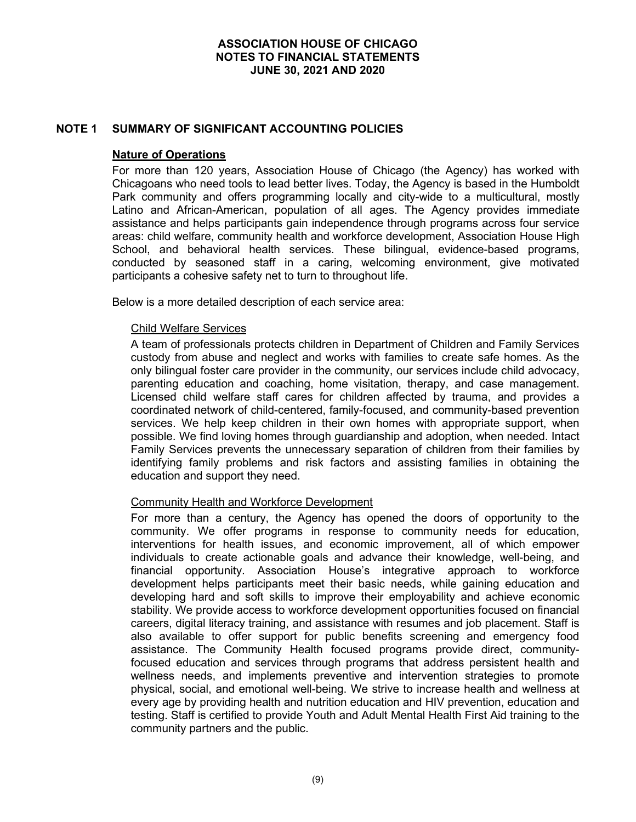### **NOTE 1 SUMMARY OF SIGNIFICANT ACCOUNTING POLICIES**

#### **Nature of Operations**

For more than 120 years, Association House of Chicago (the Agency) has worked with Chicagoans who need tools to lead better lives. Today, the Agency is based in the Humboldt Park community and offers programming locally and city-wide to a multicultural, mostly Latino and African-American, population of all ages. The Agency provides immediate assistance and helps participants gain independence through programs across four service areas: child welfare, community health and workforce development, Association House High School, and behavioral health services. These bilingual, evidence-based programs, conducted by seasoned staff in a caring, welcoming environment, give motivated participants a cohesive safety net to turn to throughout life.

Below is a more detailed description of each service area:

#### Child Welfare Services

A team of professionals protects children in Department of Children and Family Services custody from abuse and neglect and works with families to create safe homes. As the only bilingual foster care provider in the community, our services include child advocacy, parenting education and coaching, home visitation, therapy, and case management. Licensed child welfare staff cares for children affected by trauma, and provides a coordinated network of child-centered, family-focused, and community-based prevention services. We help keep children in their own homes with appropriate support, when possible. We find loving homes through guardianship and adoption, when needed. Intact Family Services prevents the unnecessary separation of children from their families by identifying family problems and risk factors and assisting families in obtaining the education and support they need.

#### Community Health and Workforce Development

For more than a century, the Agency has opened the doors of opportunity to the community. We offer programs in response to community needs for education, interventions for health issues, and economic improvement, all of which empower individuals to create actionable goals and advance their knowledge, well-being, and financial opportunity. Association House's integrative approach to workforce development helps participants meet their basic needs, while gaining education and developing hard and soft skills to improve their employability and achieve economic stability. We provide access to workforce development opportunities focused on financial careers, digital literacy training, and assistance with resumes and job placement. Staff is also available to offer support for public benefits screening and emergency food assistance. The Community Health focused programs provide direct, communityfocused education and services through programs that address persistent health and wellness needs, and implements preventive and intervention strategies to promote physical, social, and emotional well-being. We strive to increase health and wellness at every age by providing health and nutrition education and HIV prevention, education and testing. Staff is certified to provide Youth and Adult Mental Health First Aid training to the community partners and the public.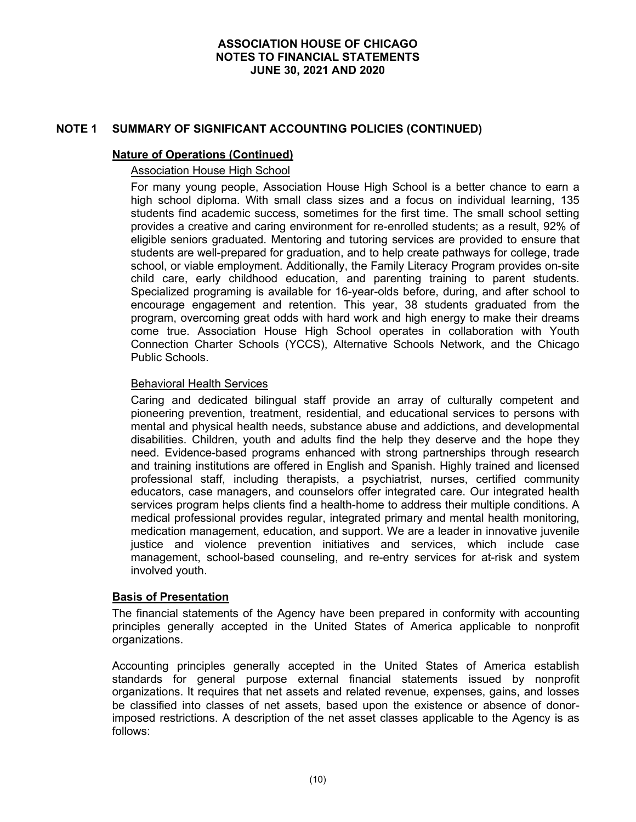# **NOTE 1 SUMMARY OF SIGNIFICANT ACCOUNTING POLICIES (CONTINUED)**

#### **Nature of Operations (Continued)**

### Association House High School

For many young people, Association House High School is a better chance to earn a high school diploma. With small class sizes and a focus on individual learning, 135 students find academic success, sometimes for the first time. The small school setting provides a creative and caring environment for re-enrolled students; as a result, 92% of eligible seniors graduated. Mentoring and tutoring services are provided to ensure that students are well-prepared for graduation, and to help create pathways for college, trade school, or viable employment. Additionally, the Family Literacy Program provides on-site child care, early childhood education, and parenting training to parent students. Specialized programing is available for 16-year-olds before, during, and after school to encourage engagement and retention. This year, 38 students graduated from the program, overcoming great odds with hard work and high energy to make their dreams come true. Association House High School operates in collaboration with Youth Connection Charter Schools (YCCS), Alternative Schools Network, and the Chicago Public Schools.

#### Behavioral Health Services

Caring and dedicated bilingual staff provide an array of culturally competent and pioneering prevention, treatment, residential, and educational services to persons with mental and physical health needs, substance abuse and addictions, and developmental disabilities. Children, youth and adults find the help they deserve and the hope they need. Evidence-based programs enhanced with strong partnerships through research and training institutions are offered in English and Spanish. Highly trained and licensed professional staff, including therapists, a psychiatrist, nurses, certified community educators, case managers, and counselors offer integrated care. Our integrated health services program helps clients find a health-home to address their multiple conditions. A medical professional provides regular, integrated primary and mental health monitoring, medication management, education, and support. We are a leader in innovative juvenile justice and violence prevention initiatives and services, which include case management, school-based counseling, and re-entry services for at-risk and system involved youth.

# **Basis of Presentation**

The financial statements of the Agency have been prepared in conformity with accounting principles generally accepted in the United States of America applicable to nonprofit organizations.

Accounting principles generally accepted in the United States of America establish standards for general purpose external financial statements issued by nonprofit organizations. It requires that net assets and related revenue, expenses, gains, and losses be classified into classes of net assets, based upon the existence or absence of donorimposed restrictions. A description of the net asset classes applicable to the Agency is as follows: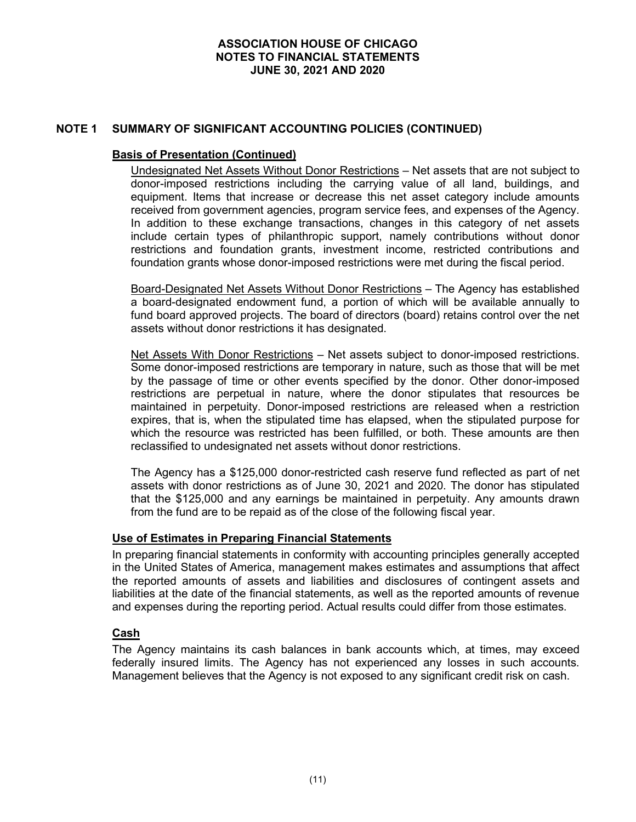# **NOTE 1 SUMMARY OF SIGNIFICANT ACCOUNTING POLICIES (CONTINUED)**

### **Basis of Presentation (Continued)**

Undesignated Net Assets Without Donor Restrictions – Net assets that are not subject to donor-imposed restrictions including the carrying value of all land, buildings, and equipment. Items that increase or decrease this net asset category include amounts received from government agencies, program service fees, and expenses of the Agency. In addition to these exchange transactions, changes in this category of net assets include certain types of philanthropic support, namely contributions without donor restrictions and foundation grants, investment income, restricted contributions and foundation grants whose donor-imposed restrictions were met during the fiscal period.

Board-Designated Net Assets Without Donor Restrictions – The Agency has established a board-designated endowment fund, a portion of which will be available annually to fund board approved projects. The board of directors (board) retains control over the net assets without donor restrictions it has designated.

Net Assets With Donor Restrictions – Net assets subject to donor-imposed restrictions. Some donor-imposed restrictions are temporary in nature, such as those that will be met by the passage of time or other events specified by the donor. Other donor-imposed restrictions are perpetual in nature, where the donor stipulates that resources be maintained in perpetuity. Donor-imposed restrictions are released when a restriction expires, that is, when the stipulated time has elapsed, when the stipulated purpose for which the resource was restricted has been fulfilled, or both. These amounts are then reclassified to undesignated net assets without donor restrictions.

The Agency has a \$125,000 donor-restricted cash reserve fund reflected as part of net assets with donor restrictions as of June 30, 2021 and 2020. The donor has stipulated that the \$125,000 and any earnings be maintained in perpetuity. Any amounts drawn from the fund are to be repaid as of the close of the following fiscal year.

# **Use of Estimates in Preparing Financial Statements**

In preparing financial statements in conformity with accounting principles generally accepted in the United States of America, management makes estimates and assumptions that affect the reported amounts of assets and liabilities and disclosures of contingent assets and liabilities at the date of the financial statements, as well as the reported amounts of revenue and expenses during the reporting period. Actual results could differ from those estimates.

# **Cash**

The Agency maintains its cash balances in bank accounts which, at times, may exceed federally insured limits. The Agency has not experienced any losses in such accounts. Management believes that the Agency is not exposed to any significant credit risk on cash.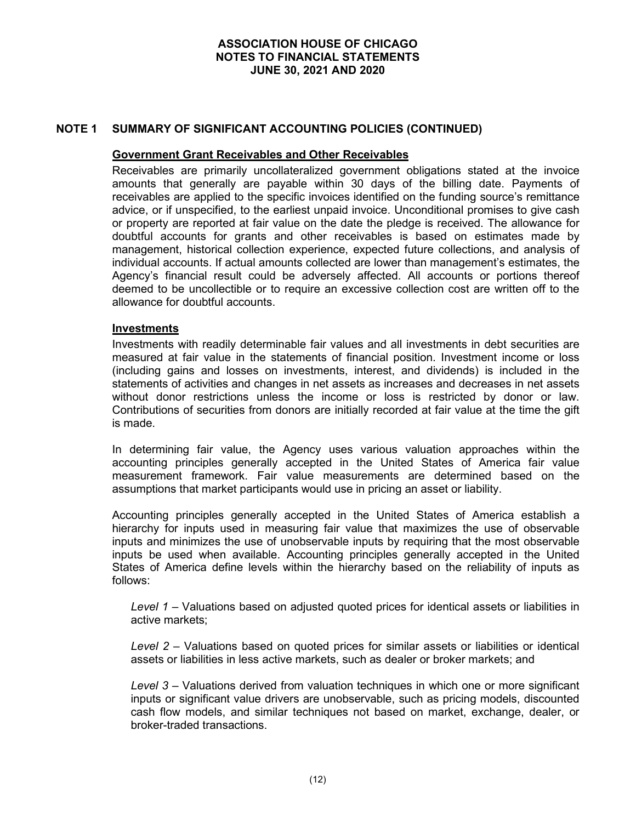# **NOTE 1 SUMMARY OF SIGNIFICANT ACCOUNTING POLICIES (CONTINUED)**

#### **Government Grant Receivables and Other Receivables**

Receivables are primarily uncollateralized government obligations stated at the invoice amounts that generally are payable within 30 days of the billing date. Payments of receivables are applied to the specific invoices identified on the funding source's remittance advice, or if unspecified, to the earliest unpaid invoice. Unconditional promises to give cash or property are reported at fair value on the date the pledge is received. The allowance for doubtful accounts for grants and other receivables is based on estimates made by management, historical collection experience, expected future collections, and analysis of individual accounts. If actual amounts collected are lower than management's estimates, the Agency's financial result could be adversely affected. All accounts or portions thereof deemed to be uncollectible or to require an excessive collection cost are written off to the allowance for doubtful accounts.

#### **Investments**

Investments with readily determinable fair values and all investments in debt securities are measured at fair value in the statements of financial position. Investment income or loss (including gains and losses on investments, interest, and dividends) is included in the statements of activities and changes in net assets as increases and decreases in net assets without donor restrictions unless the income or loss is restricted by donor or law. Contributions of securities from donors are initially recorded at fair value at the time the gift is made.

In determining fair value, the Agency uses various valuation approaches within the accounting principles generally accepted in the United States of America fair value measurement framework. Fair value measurements are determined based on the assumptions that market participants would use in pricing an asset or liability.

Accounting principles generally accepted in the United States of America establish a hierarchy for inputs used in measuring fair value that maximizes the use of observable inputs and minimizes the use of unobservable inputs by requiring that the most observable inputs be used when available. Accounting principles generally accepted in the United States of America define levels within the hierarchy based on the reliability of inputs as follows:

*Level 1* – Valuations based on adjusted quoted prices for identical assets or liabilities in active markets;

*Level 2* – Valuations based on quoted prices for similar assets or liabilities or identical assets or liabilities in less active markets, such as dealer or broker markets; and

*Level 3* – Valuations derived from valuation techniques in which one or more significant inputs or significant value drivers are unobservable, such as pricing models, discounted cash flow models, and similar techniques not based on market, exchange, dealer, or broker-traded transactions.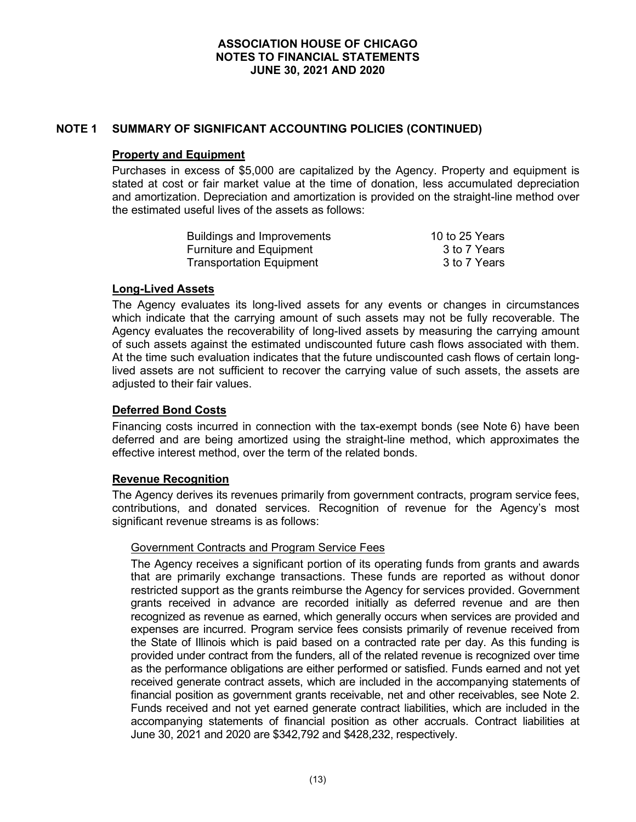# **NOTE 1 SUMMARY OF SIGNIFICANT ACCOUNTING POLICIES (CONTINUED)**

#### **Property and Equipment**

Purchases in excess of \$5,000 are capitalized by the Agency. Property and equipment is stated at cost or fair market value at the time of donation, less accumulated depreciation and amortization. Depreciation and amortization is provided on the straight-line method over the estimated useful lives of the assets as follows:

| <b>Buildings and Improvements</b> | 10 to 25 Years |
|-----------------------------------|----------------|
| Furniture and Equipment           | 3 to 7 Years   |
| <b>Transportation Equipment</b>   | 3 to 7 Years   |

#### **Long-Lived Assets**

The Agency evaluates its long-lived assets for any events or changes in circumstances which indicate that the carrying amount of such assets may not be fully recoverable. The Agency evaluates the recoverability of long-lived assets by measuring the carrying amount of such assets against the estimated undiscounted future cash flows associated with them. At the time such evaluation indicates that the future undiscounted cash flows of certain longlived assets are not sufficient to recover the carrying value of such assets, the assets are adiusted to their fair values.

# **Deferred Bond Costs**

Financing costs incurred in connection with the tax-exempt bonds (see Note 6) have been deferred and are being amortized using the straight-line method, which approximates the effective interest method, over the term of the related bonds.

#### **Revenue Recognition**

The Agency derives its revenues primarily from government contracts, program service fees, contributions, and donated services. Recognition of revenue for the Agency's most significant revenue streams is as follows:

#### Government Contracts and Program Service Fees

The Agency receives a significant portion of its operating funds from grants and awards that are primarily exchange transactions. These funds are reported as without donor restricted support as the grants reimburse the Agency for services provided. Government grants received in advance are recorded initially as deferred revenue and are then recognized as revenue as earned, which generally occurs when services are provided and expenses are incurred. Program service fees consists primarily of revenue received from the State of Illinois which is paid based on a contracted rate per day. As this funding is provided under contract from the funders, all of the related revenue is recognized over time as the performance obligations are either performed or satisfied. Funds earned and not yet received generate contract assets, which are included in the accompanying statements of financial position as government grants receivable, net and other receivables, see Note 2. Funds received and not yet earned generate contract liabilities, which are included in the accompanying statements of financial position as other accruals. Contract liabilities at June 30, 2021 and 2020 are \$342,792 and \$428,232, respectively.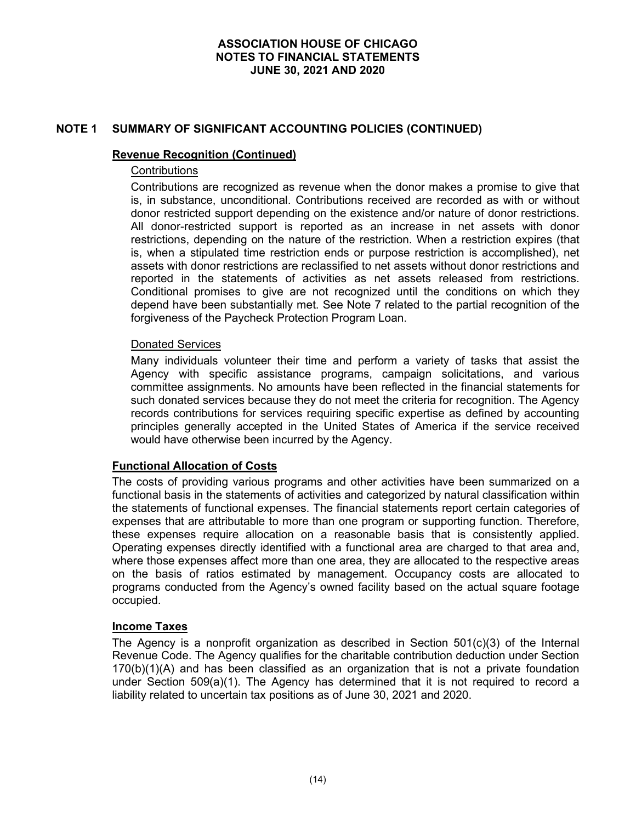# **NOTE 1 SUMMARY OF SIGNIFICANT ACCOUNTING POLICIES (CONTINUED)**

#### **Revenue Recognition (Continued)**

# **Contributions**

Contributions are recognized as revenue when the donor makes a promise to give that is, in substance, unconditional. Contributions received are recorded as with or without donor restricted support depending on the existence and/or nature of donor restrictions. All donor-restricted support is reported as an increase in net assets with donor restrictions, depending on the nature of the restriction. When a restriction expires (that is, when a stipulated time restriction ends or purpose restriction is accomplished), net assets with donor restrictions are reclassified to net assets without donor restrictions and reported in the statements of activities as net assets released from restrictions. Conditional promises to give are not recognized until the conditions on which they depend have been substantially met. See Note 7 related to the partial recognition of the forgiveness of the Paycheck Protection Program Loan.

#### Donated Services

Many individuals volunteer their time and perform a variety of tasks that assist the Agency with specific assistance programs, campaign solicitations, and various committee assignments. No amounts have been reflected in the financial statements for such donated services because they do not meet the criteria for recognition. The Agency records contributions for services requiring specific expertise as defined by accounting principles generally accepted in the United States of America if the service received would have otherwise been incurred by the Agency.

#### **Functional Allocation of Costs**

The costs of providing various programs and other activities have been summarized on a functional basis in the statements of activities and categorized by natural classification within the statements of functional expenses. The financial statements report certain categories of expenses that are attributable to more than one program or supporting function. Therefore, these expenses require allocation on a reasonable basis that is consistently applied. Operating expenses directly identified with a functional area are charged to that area and, where those expenses affect more than one area, they are allocated to the respective areas on the basis of ratios estimated by management. Occupancy costs are allocated to programs conducted from the Agency's owned facility based on the actual square footage occupied.

#### **Income Taxes**

The Agency is a nonprofit organization as described in Section  $501(c)(3)$  of the Internal Revenue Code. The Agency qualifies for the charitable contribution deduction under Section  $170(b)(1)(A)$  and has been classified as an organization that is not a private foundation under Section 509(a)(1). The Agency has determined that it is not required to record a liability related to uncertain tax positions as of June 30, 2021 and 2020.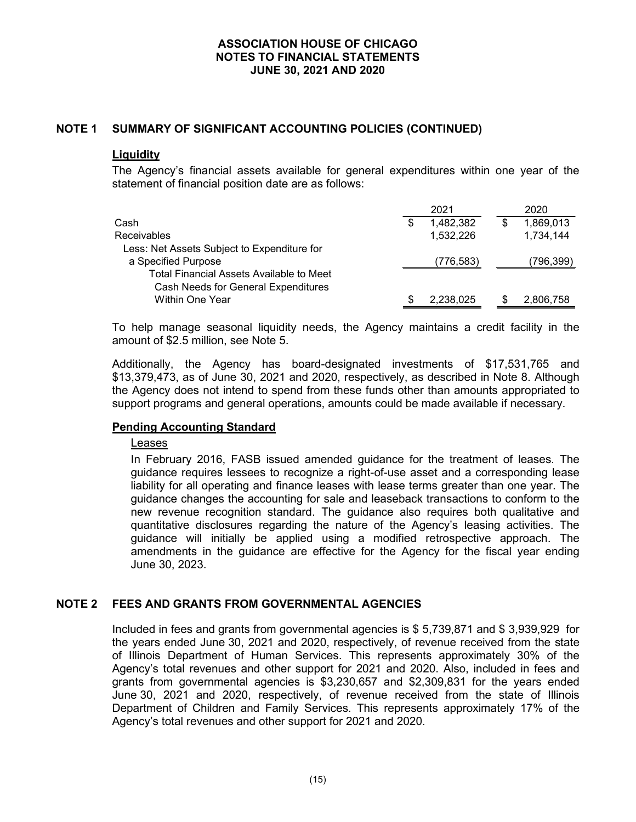# **NOTE 1 SUMMARY OF SIGNIFICANT ACCOUNTING POLICIES (CONTINUED)**

### **Liquidity**

The Agency's financial assets available for general expenditures within one year of the statement of financial position date are as follows:

|                                             |   | 2021       | 2020      |
|---------------------------------------------|---|------------|-----------|
| Cash                                        | S | 1,482,382  | 1,869,013 |
| <b>Receivables</b>                          |   | 1,532,226  | 1,734,144 |
| Less: Net Assets Subject to Expenditure for |   |            |           |
| a Specified Purpose                         |   | (776, 583) | 796,399)  |
| Total Financial Assets Available to Meet    |   |            |           |
| Cash Needs for General Expenditures         |   |            |           |
| <b>Within One Year</b>                      |   | 2,238,025  | 2,806,758 |

To help manage seasonal liquidity needs, the Agency maintains a credit facility in the amount of \$2.5 million, see Note 5.

Additionally, the Agency has board-designated investments of \$17,531,765 and \$13,379,473, as of June 30, 2021 and 2020, respectively, as described in Note 8. Although the Agency does not intend to spend from these funds other than amounts appropriated to support programs and general operations, amounts could be made available if necessary.

#### **Pending Accounting Standard**

#### Leases

In February 2016, FASB issued amended guidance for the treatment of leases. The guidance requires lessees to recognize a right-of-use asset and a corresponding lease liability for all operating and finance leases with lease terms greater than one year. The guidance changes the accounting for sale and leaseback transactions to conform to the new revenue recognition standard. The guidance also requires both qualitative and quantitative disclosures regarding the nature of the Agency's leasing activities. The guidance will initially be applied using a modified retrospective approach. The amendments in the guidance are effective for the Agency for the fiscal year ending June 30, 2023.

# **NOTE 2 FEES AND GRANTS FROM GOVERNMENTAL AGENCIES**

Included in fees and grants from governmental agencies is \$ 5,739,871 and \$ 3,939,929 for the years ended June 30, 2021 and 2020, respectively, of revenue received from the state of Illinois Department of Human Services. This represents approximately 30% of the Agency's total revenues and other support for 2021 and 2020. Also, included in fees and grants from governmental agencies is \$3,230,657 and \$2,309,831 for the years ended June 30, 2021 and 2020, respectively, of revenue received from the state of Illinois Department of Children and Family Services. This represents approximately 17% of the Agency's total revenues and other support for 2021 and 2020.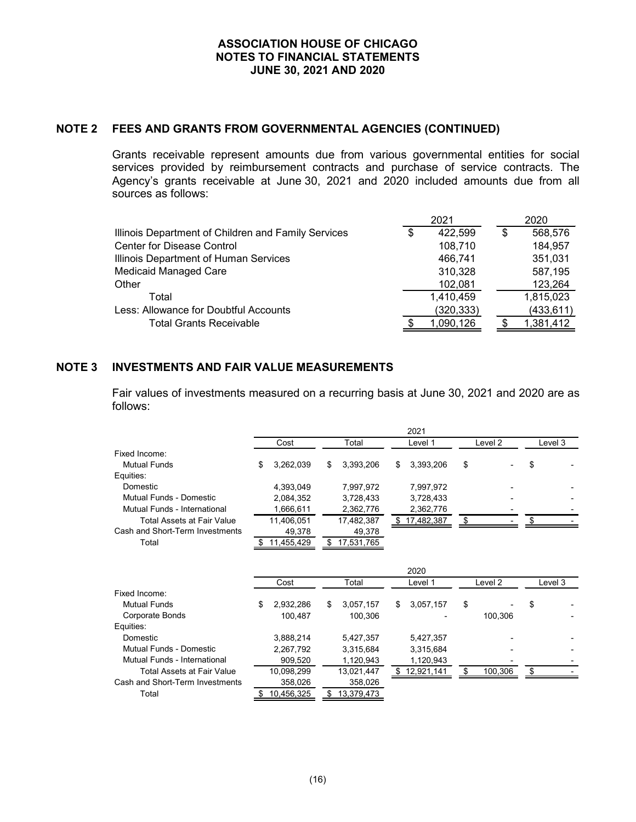#### **NOTE 2 FEES AND GRANTS FROM GOVERNMENTAL AGENCIES (CONTINUED)**

Grants receivable represent amounts due from various governmental entities for social services provided by reimbursement contracts and purchase of service contracts. The Agency's grants receivable at June 30, 2021 and 2020 included amounts due from all sources as follows:

|                                                     | 2021          | 2020       |  |  |
|-----------------------------------------------------|---------------|------------|--|--|
| Illinois Department of Children and Family Services | \$<br>422,599 | 568,576    |  |  |
| Center for Disease Control                          | 108,710       | 184,957    |  |  |
| Illinois Department of Human Services               | 466.741       | 351,031    |  |  |
| <b>Medicaid Managed Care</b>                        | 310,328       | 587,195    |  |  |
| Other                                               | 102,081       | 123,264    |  |  |
| Total                                               | 1,410,459     | 1,815,023  |  |  |
| Less: Allowance for Doubtful Accounts               | (320, 333)    | (433, 611) |  |  |
| <b>Total Grants Receivable</b>                      | 1,090,126     | 1,381,412  |  |  |
|                                                     |               |            |  |  |

### **NOTE 3 INVESTMENTS AND FAIR VALUE MEASUREMENTS**

Cash and Short-Term Investments 358,026 358,026 Total \$ 10,456,325 \$ 13,379,473

Fair values of investments measured on a recurring basis at June 30, 2021 and 2020 are as follows:

|                                 |                 |       |            | 2021             |    |                    |    |         |  |
|---------------------------------|-----------------|-------|------------|------------------|----|--------------------|----|---------|--|
|                                 | Cost            | Total |            | Level 1          |    | Level 2            |    | Level 3 |  |
| Fixed Income:                   |                 |       |            |                  |    |                    |    |         |  |
| <b>Mutual Funds</b>             | \$<br>3,262,039 | \$    | 3,393,206  | \$<br>3,393,206  | \$ |                    | \$ |         |  |
| Equities:                       |                 |       |            |                  |    |                    |    |         |  |
| Domestic                        | 4,393,049       |       | 7,997,972  | 7,997,972        |    |                    |    |         |  |
| <b>Mutual Funds - Domestic</b>  | 2,084,352       |       | 3,728,433  | 3,728,433        |    |                    |    |         |  |
| Mutual Funds - International    | 1,666,611       |       | 2,362,776  | 2,362,776        |    |                    |    |         |  |
| Total Assets at Fair Value      | 11,406,051      |       | 17,482,387 | \$<br>17,482,387 | \$ |                    | \$ |         |  |
| Cash and Short-Term Investments | 49,378          |       | 49,378     |                  |    |                    |    |         |  |
| Total                           | 11,455,429      | S     | 17,531,765 |                  |    |                    |    |         |  |
|                                 |                 |       |            |                  |    |                    |    |         |  |
|                                 |                 |       |            | 2020             |    |                    |    |         |  |
|                                 | Cost            |       | Total      | Level 1          |    | Level <sub>2</sub> |    | Level 3 |  |
| Fixed Income:                   |                 |       |            |                  |    |                    |    |         |  |
| <b>Mutual Funds</b>             | \$<br>2,932,286 | \$    | 3,057,157  | \$<br>3,057,157  | \$ |                    | \$ |         |  |
| Corporate Bonds                 | 100,487         |       | 100,306    |                  |    | 100,306            |    |         |  |
| Equities:                       |                 |       |            |                  |    |                    |    |         |  |
| Domestic                        | 3,888,214       |       | 5,427,357  | 5,427,357        |    |                    |    |         |  |
| Mutual Funds - Domestic         | 2,267,792       |       | 3,315,684  | 3,315,684        |    |                    |    |         |  |
| Mutual Funds - International    | 909,520         |       | 1,120,943  | 1,120,943        |    |                    |    |         |  |

Total Assets at Fair Value  $\frac{10,098,299}{10,098,299}$   $\frac{13,021,447}{13,021,447}$   $\frac{1}{\sqrt{5}}$   $\frac{12,921,141}{12,921,141}$   $\frac{1}{\sqrt{5}}$   $\frac{100,306}{100,306}$   $\frac{1}{\sqrt{5}}$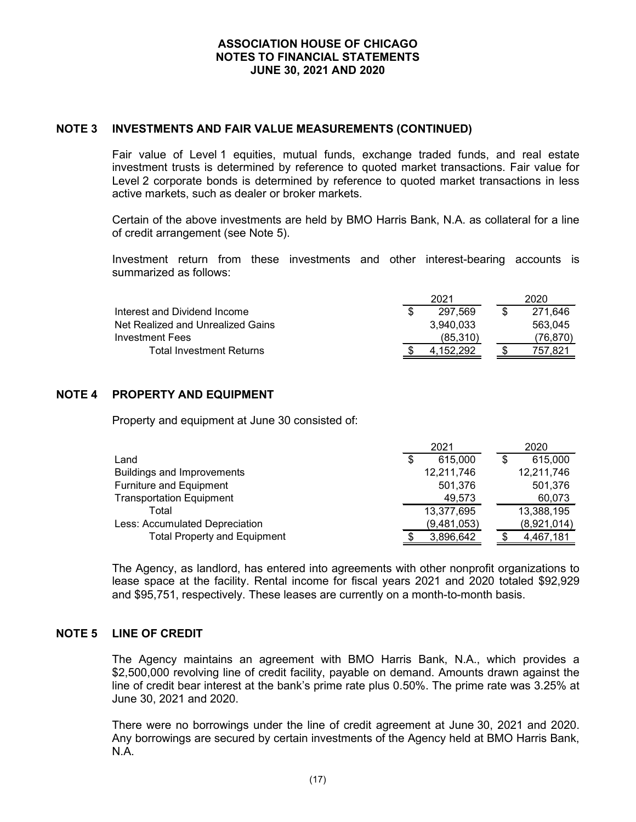### **NOTE 3 INVESTMENTS AND FAIR VALUE MEASUREMENTS (CONTINUED)**

Fair value of Level 1 equities, mutual funds, exchange traded funds, and real estate investment trusts is determined by reference to quoted market transactions. Fair value for Level 2 corporate bonds is determined by reference to quoted market transactions in less active markets, such as dealer or broker markets.

Certain of the above investments are held by BMO Harris Bank, N.A. as collateral for a line of credit arrangement (see Note 5).

Investment return from these investments and other interest-bearing accounts is summarized as follows:

|                                   | 2021      | 2020     |  |
|-----------------------------------|-----------|----------|--|
| Interest and Dividend Income      | 297.569   | 271.646  |  |
| Net Realized and Unrealized Gains | 3.940.033 | 563.045  |  |
| Investment Fees                   | (85,310)  | (76,870) |  |
| <b>Total Investment Returns</b>   | 152.292   | 757.821  |  |

# **NOTE 4 PROPERTY AND EQUIPMENT**

Property and equipment at June 30 consisted of:

|                                     | 2021 |             | 2020 |             |
|-------------------------------------|------|-------------|------|-------------|
| Land                                | \$   | 615,000     |      | 615,000     |
| <b>Buildings and Improvements</b>   |      | 12,211,746  |      | 12,211,746  |
| Furniture and Equipment             |      | 501,376     |      | 501,376     |
| <b>Transportation Equipment</b>     |      | 49,573      |      | 60,073      |
| Total                               |      | 13,377,695  |      | 13,388,195  |
| Less: Accumulated Depreciation      |      | (9,481,053) |      | (8,921,014) |
| <b>Total Property and Equipment</b> |      | 3,896,642   |      | 4,467,181   |

The Agency, as landlord, has entered into agreements with other nonprofit organizations to lease space at the facility. Rental income for fiscal years 2021 and 2020 totaled \$92,929 and \$95,751, respectively. These leases are currently on a month-to-month basis.

### **NOTE 5 LINE OF CREDIT**

The Agency maintains an agreement with BMO Harris Bank, N.A., which provides a \$2,500,000 revolving line of credit facility, payable on demand. Amounts drawn against the line of credit bear interest at the bank's prime rate plus 0.50%. The prime rate was 3.25% at June 30, 2021 and 2020.

There were no borrowings under the line of credit agreement at June 30, 2021 and 2020. Any borrowings are secured by certain investments of the Agency held at BMO Harris Bank, N.A.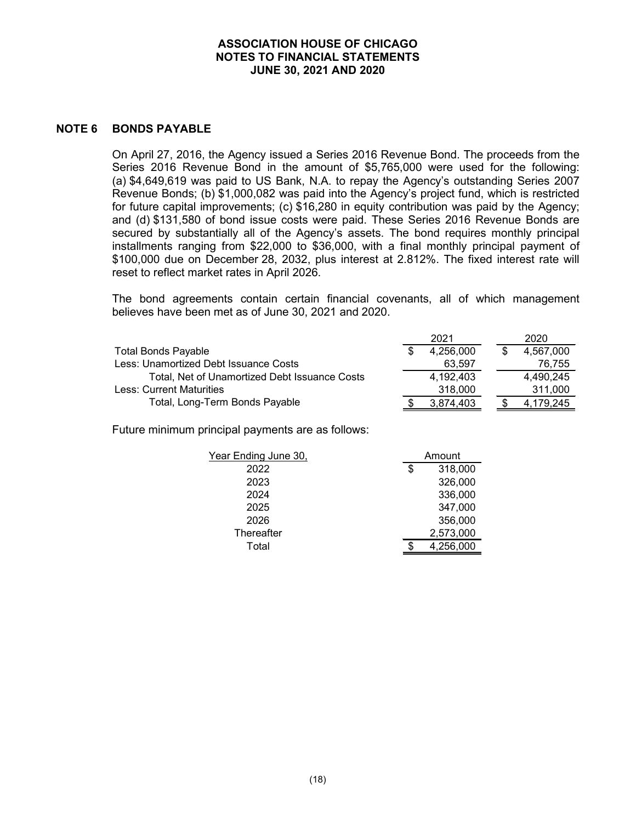#### **NOTE 6 BONDS PAYABLE**

On April 27, 2016, the Agency issued a Series 2016 Revenue Bond. The proceeds from the Series 2016 Revenue Bond in the amount of \$5,765,000 were used for the following: (a) \$4,649,619 was paid to US Bank, N.A. to repay the Agency's outstanding Series 2007 Revenue Bonds; (b) \$1,000,082 was paid into the Agency's project fund, which is restricted for future capital improvements; (c) \$16,280 in equity contribution was paid by the Agency; and (d) \$131,580 of bond issue costs were paid. These Series 2016 Revenue Bonds are secured by substantially all of the Agency's assets. The bond requires monthly principal installments ranging from \$22,000 to \$36,000, with a final monthly principal payment of \$100,000 due on December 28, 2032, plus interest at 2.812%. The fixed interest rate will reset to reflect market rates in April 2026.

The bond agreements contain certain financial covenants, all of which management believes have been met as of June 30, 2021 and 2020.

|                                               | 2021      |  | 2020      |
|-----------------------------------------------|-----------|--|-----------|
| <b>Total Bonds Payable</b>                    | 4,256,000 |  | 4,567,000 |
| Less: Unamortized Debt Issuance Costs         | 63.597    |  | 76.755    |
| Total, Net of Unamortized Debt Issuance Costs | 4.192.403 |  | 4.490.245 |
| Less: Current Maturities                      | 318,000   |  | 311.000   |
| Total, Long-Term Bonds Payable                | 3,874,403 |  | 4.179.245 |

Future minimum principal payments are as follows:

| Year Ending June 30, | Amount        |  |  |
|----------------------|---------------|--|--|
| 2022                 | \$<br>318,000 |  |  |
| 2023                 | 326,000       |  |  |
| 2024                 | 336,000       |  |  |
| 2025                 | 347,000       |  |  |
| 2026                 | 356,000       |  |  |
| Thereafter           | 2,573,000     |  |  |
| Total                | 4,256,000     |  |  |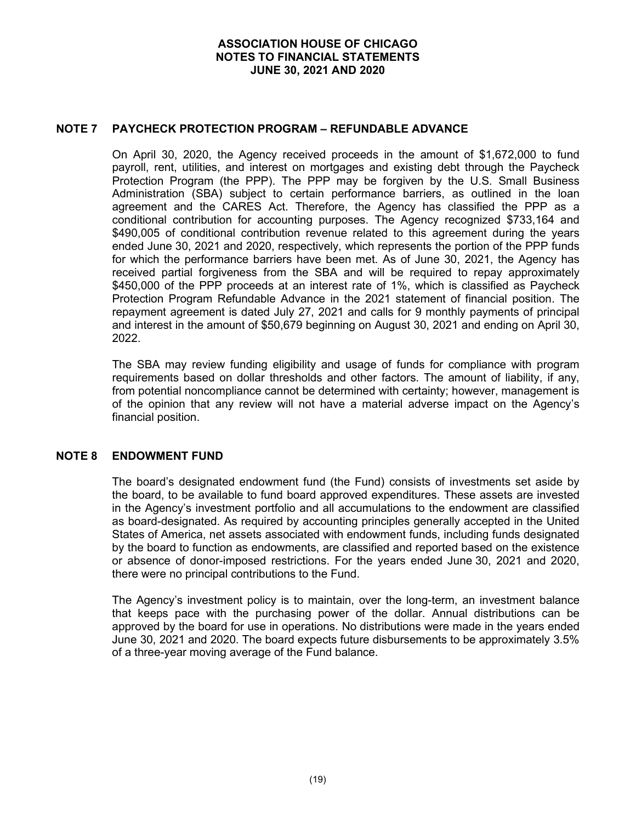### **NOTE 7 PAYCHECK PROTECTION PROGRAM – REFUNDABLE ADVANCE**

On April 30, 2020, the Agency received proceeds in the amount of \$1,672,000 to fund payroll, rent, utilities, and interest on mortgages and existing debt through the Paycheck Protection Program (the PPP). The PPP may be forgiven by the U.S. Small Business Administration (SBA) subject to certain performance barriers, as outlined in the loan agreement and the CARES Act. Therefore, the Agency has classified the PPP as a conditional contribution for accounting purposes. The Agency recognized \$733,164 and \$490,005 of conditional contribution revenue related to this agreement during the years ended June 30, 2021 and 2020, respectively, which represents the portion of the PPP funds for which the performance barriers have been met. As of June 30, 2021, the Agency has received partial forgiveness from the SBA and will be required to repay approximately \$450,000 of the PPP proceeds at an interest rate of 1%, which is classified as Paycheck Protection Program Refundable Advance in the 2021 statement of financial position. The repayment agreement is dated July 27, 2021 and calls for 9 monthly payments of principal and interest in the amount of \$50,679 beginning on August 30, 2021 and ending on April 30, 2022.

The SBA may review funding eligibility and usage of funds for compliance with program requirements based on dollar thresholds and other factors. The amount of liability, if any, from potential noncompliance cannot be determined with certainty; however, management is of the opinion that any review will not have a material adverse impact on the Agency's financial position.

# **NOTE 8 ENDOWMENT FUND**

The board's designated endowment fund (the Fund) consists of investments set aside by the board, to be available to fund board approved expenditures. These assets are invested in the Agency's investment portfolio and all accumulations to the endowment are classified as board-designated. As required by accounting principles generally accepted in the United States of America, net assets associated with endowment funds, including funds designated by the board to function as endowments, are classified and reported based on the existence or absence of donor-imposed restrictions. For the years ended June 30, 2021 and 2020, there were no principal contributions to the Fund.

The Agency's investment policy is to maintain, over the long-term, an investment balance that keeps pace with the purchasing power of the dollar. Annual distributions can be approved by the board for use in operations. No distributions were made in the years ended June 30, 2021 and 2020. The board expects future disbursements to be approximately 3.5% of a three-year moving average of the Fund balance.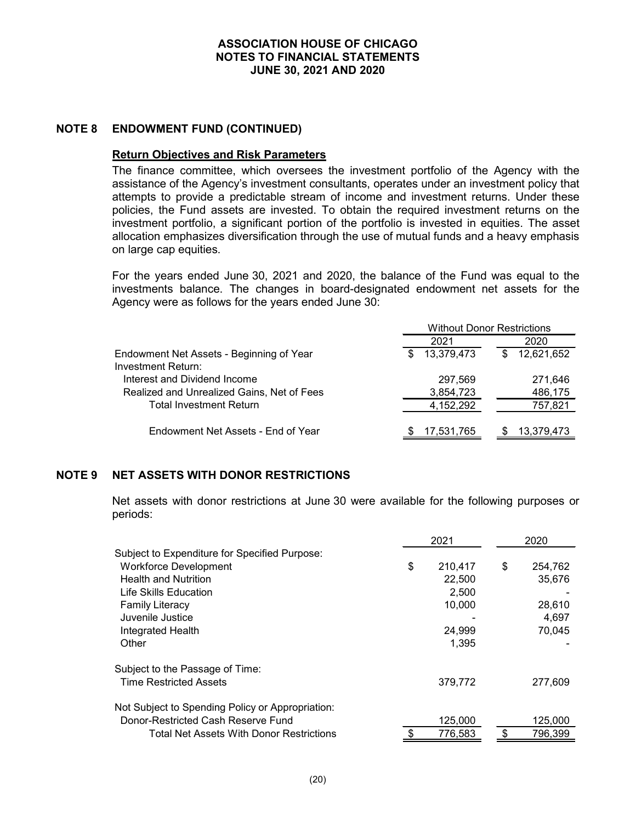### **NOTE 8 ENDOWMENT FUND (CONTINUED)**

#### **Return Objectives and Risk Parameters**

The finance committee, which oversees the investment portfolio of the Agency with the assistance of the Agency's investment consultants, operates under an investment policy that attempts to provide a predictable stream of income and investment returns. Under these policies, the Fund assets are invested. To obtain the required investment returns on the investment portfolio, a significant portion of the portfolio is invested in equities. The asset allocation emphasizes diversification through the use of mutual funds and a heavy emphasis on large cap equities.

For the years ended June 30, 2021 and 2020, the balance of the Fund was equal to the investments balance. The changes in board-designated endowment net assets for the Agency were as follows for the years ended June 30:

|                                            | <b>Without Donor Restrictions</b> |                 |  |
|--------------------------------------------|-----------------------------------|-----------------|--|
|                                            | 2021                              | 2020            |  |
| Endowment Net Assets - Beginning of Year   | 13,379,473<br>S                   | 12,621,652<br>S |  |
| Investment Return:                         |                                   |                 |  |
| Interest and Dividend Income               | 297,569                           | 271,646         |  |
| Realized and Unrealized Gains, Net of Fees | 3,854,723                         | 486,175         |  |
| <b>Total Investment Return</b>             | 4,152,292                         | 757,821         |  |
|                                            |                                   |                 |  |
| Endowment Net Assets - End of Year         | 17,531,765                        | 13,379,473      |  |

# **NOTE 9 NET ASSETS WITH DONOR RESTRICTIONS**

Net assets with donor restrictions at June 30 were available for the following purposes or periods:

|                                                  | 2021 |         | 2020 |         |
|--------------------------------------------------|------|---------|------|---------|
| Subject to Expenditure for Specified Purpose:    |      |         |      |         |
| <b>Workforce Development</b>                     | \$   | 210,417 | \$   | 254,762 |
| <b>Health and Nutrition</b>                      |      | 22,500  |      | 35,676  |
| Life Skills Education                            |      | 2,500   |      |         |
| <b>Family Literacy</b>                           |      | 10,000  |      | 28,610  |
| Juvenile Justice                                 |      |         |      | 4.697   |
| Integrated Health                                |      | 24,999  |      | 70.045  |
| Other                                            |      | 1,395   |      |         |
| Subject to the Passage of Time:                  |      |         |      |         |
| <b>Time Restricted Assets</b>                    |      | 379,772 |      | 277,609 |
| Not Subject to Spending Policy or Appropriation: |      |         |      |         |
| Donor-Restricted Cash Reserve Fund               |      | 125,000 |      | 125,000 |
| Total Net Assets With Donor Restrictions         |      | 776.583 |      | 796,399 |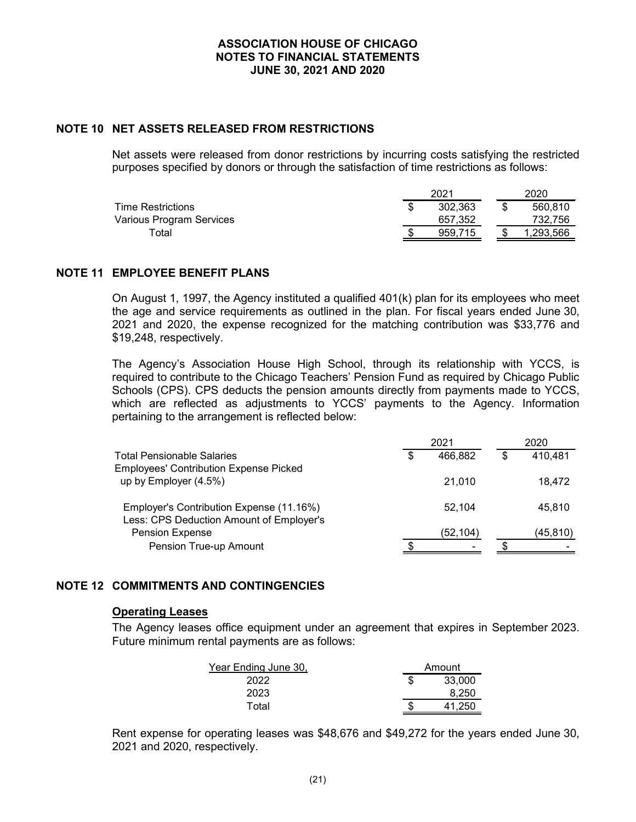### **NOTE 10 NET ASSETS RELEASED FROM RESTRICTIONS**

Net assets were released from donor restrictions by incurring costs satisfying the restricted purposes specified by donors or through the satisfaction of time restrictions as follows:

|                          | 2021    |  | 2020      |  |  |
|--------------------------|---------|--|-----------|--|--|
| <b>Time Restrictions</b> | 302,363 |  | 560,810   |  |  |
| Various Program Services | 657,352 |  | 732.756   |  |  |
| ™otal                    | 959.715 |  | 1.293.566 |  |  |

### **NOTE 11 EMPLOYEE BENEFIT PLANS**

On August 1, 1997, the Agency instituted a qualified 401(k) plan for its employees who meet the age and service requirements as outlined in the plan. For fiscal years ended June 30, 2021 and 2020, the expense recognized for the matching contribution was \$33,776 and \$19,248, respectively.

The Agency's Association House High School, through its relationship with YCCS, is required to contribute to the Chicago Teachers' Pension Fund as required by Chicago Public Schools (CPS). CPS deducts the pension amounts directly from payments made to YCCS, which are reflected as adjustments to YCCS' payments to the Agency. Information pertaining to the arrangement is reflected below:

|                                               | 2021 |          | 2020 |           |
|-----------------------------------------------|------|----------|------|-----------|
| <b>Total Pensionable Salaries</b>             | S    | 466,882  |      | 410,481   |
| <b>Employees' Contribution Expense Picked</b> |      |          |      |           |
| up by Employer (4.5%)                         |      | 21.010   |      | 18.472    |
| Employer's Contribution Expense (11.16%)      |      | 52.104   |      | 45.810    |
| Less: CPS Deduction Amount of Employer's      |      |          |      |           |
| <b>Pension Expense</b>                        |      | (52,104) |      | (45, 810) |
| Pension True-up Amount                        |      |          |      |           |

# **NOTE 12 COMMITMENTS AND CONTINGENCIES**

#### **Operating Leases**

The Agency leases office equipment under an agreement that expires in September 2023. Future minimum rental payments are as follows:

| Year Ending June 30, | Amount |        |  |
|----------------------|--------|--------|--|
| 2022                 |        | 33,000 |  |
| 2023                 |        | 8.250  |  |
| Total                |        | .250   |  |

Rent expense for operating leases was \$48,676 and \$49,272 for the years ended June 30, 2021 and 2020, respectively.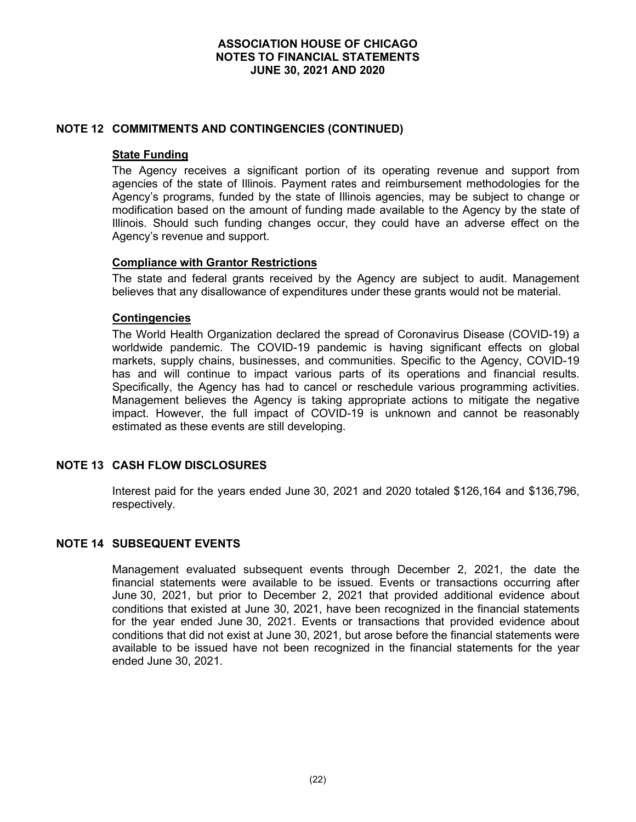# **NOTE 12 COMMITMENTS AND CONTINGENCIES (CONTINUED)**

#### **State Funding**

The Agency receives a significant portion of its operating revenue and support from agencies of the state of Illinois. Payment rates and reimbursement methodologies for the Agency's programs, funded by the state of Illinois agencies, may be subject to change or modification based on the amount of funding made available to the Agency by the state of Illinois. Should such funding changes occur, they could have an adverse effect on the Agency's revenue and support.

#### **Compliance with Grantor Restrictions**

The state and federal grants received by the Agency are subject to audit. Management believes that any disallowance of expenditures under these grants would not be material.

### **Contingencies**

The World Health Organization declared the spread of Coronavirus Disease (COVID-19) a worldwide pandemic. The COVID-19 pandemic is having significant effects on global markets, supply chains, businesses, and communities. Specific to the Agency, COVID-19 has and will continue to impact various parts of its operations and financial results. Specifically, the Agency has had to cancel or reschedule various programming activities. Management believes the Agency is taking appropriate actions to mitigate the negative impact. However, the full impact of COVID-19 is unknown and cannot be reasonably estimated as these events are still developing.

# **NOTE 13 CASH FLOW DISCLOSURES**

Interest paid for the years ended June 30, 2021 and 2020 totaled \$126,164 and \$136,796, respectively.

# **NOTE 14 SUBSEQUENT EVENTS**

Management evaluated subsequent events through December 2, 2021, the date the financial statements were available to be issued. Events or transactions occurring after June 30, 2021, but prior to December 2, 2021 that provided additional evidence about conditions that existed at June 30, 2021, have been recognized in the financial statements for the year ended June 30, 2021. Events or transactions that provided evidence about conditions that did not exist at June 30, 2021, but arose before the financial statements were available to be issued have not been recognized in the financial statements for the year ended June 30, 2021.